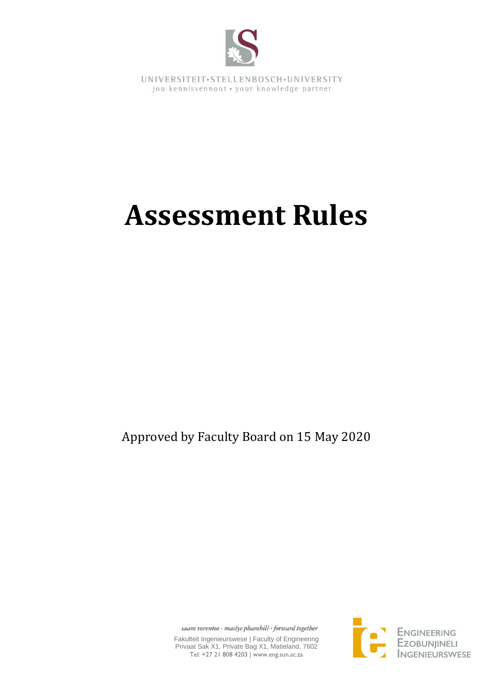

UNIVERSITEIT.STELLENBOSCH.UNIVERSITY jou kennisvennoot · your knowledge partner

# **Assessment Rules**

Approved by Faculty Board on 15 May 2020

saam vorentoe · masiye phambili · forward together

Fakulteit Ingenieurswese | Faculty of Engineering Privaat Sak X1, Private Bag X1, Matieland, 7602 Tel: +27 21 808 4203 | www.eng.sun.ac.za

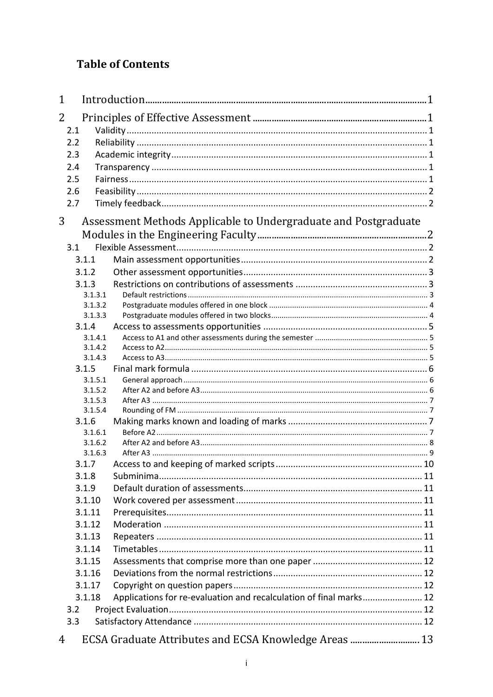# **Table of Contents**

| 2<br>2.1<br>2.2<br>2.3<br>2.4<br>2.5                                         |
|------------------------------------------------------------------------------|
|                                                                              |
|                                                                              |
|                                                                              |
|                                                                              |
|                                                                              |
|                                                                              |
|                                                                              |
| 2.6                                                                          |
| 2.7                                                                          |
| Assessment Methods Applicable to Undergraduate and Postgraduate<br>3         |
|                                                                              |
| 3.1                                                                          |
| 3.1.1                                                                        |
| 3.1.2                                                                        |
| 3.1.3                                                                        |
| 3.1.3.1                                                                      |
| 3.1.3.2                                                                      |
| 3.1.3.3                                                                      |
| 3.1.4                                                                        |
| 3.1.4.1                                                                      |
| 3.1.4.2<br>3.1.4.3                                                           |
| 3.1.5                                                                        |
| 3.1.5.1                                                                      |
| 3.1.5.2                                                                      |
| 3.1.5.3                                                                      |
| 3.1.5.4                                                                      |
| 3.1.6                                                                        |
| 3.1.6.1                                                                      |
| 3.1.6.2                                                                      |
| 3.1.6.3                                                                      |
| 3.1.7                                                                        |
| 3.1.8                                                                        |
| 3.1.9                                                                        |
| 3.1.10                                                                       |
| 3.1.11                                                                       |
| 3.1.12                                                                       |
| 3.1.13                                                                       |
| 3.1.14                                                                       |
| 3.1.15                                                                       |
| 3.1.16                                                                       |
| 3.1.17                                                                       |
| Applications for re-evaluation and recalculation of final marks 12<br>3.1.18 |
| 3.2                                                                          |
| 3.3                                                                          |
| ECSA Graduate Attributes and ECSA Knowledge Areas  13<br>4                   |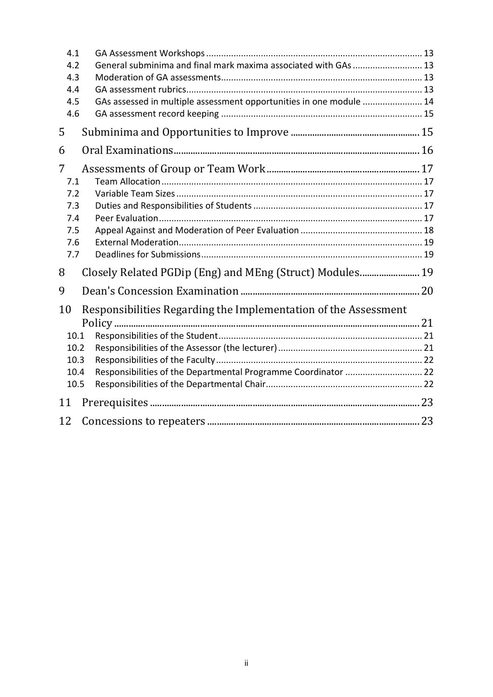| 4.1  |                                                                     |  |
|------|---------------------------------------------------------------------|--|
| 4.2  | General subminima and final mark maxima associated with GAs  13     |  |
| 4.3  |                                                                     |  |
| 4.4  |                                                                     |  |
| 4.5  | GAs assessed in multiple assessment opportunities in one module  14 |  |
| 4.6  |                                                                     |  |
| 5    |                                                                     |  |
| 6    |                                                                     |  |
| 7    |                                                                     |  |
| 7.1  |                                                                     |  |
| 7.2  |                                                                     |  |
| 7.3  |                                                                     |  |
| 7.4  |                                                                     |  |
| 7.5  |                                                                     |  |
| 7.6  |                                                                     |  |
| 7.7  |                                                                     |  |
| 8    | Closely Related PGDip (Eng) and MEng (Struct) Modules 19            |  |
| 9    |                                                                     |  |
| 10   | Responsibilities Regarding the Implementation of the Assessment     |  |
|      |                                                                     |  |
| 10.1 |                                                                     |  |
| 10.2 |                                                                     |  |
| 10.3 |                                                                     |  |
| 10.4 | Responsibilities of the Departmental Programme Coordinator  22      |  |
| 10.5 |                                                                     |  |
| 11   |                                                                     |  |
| 12   |                                                                     |  |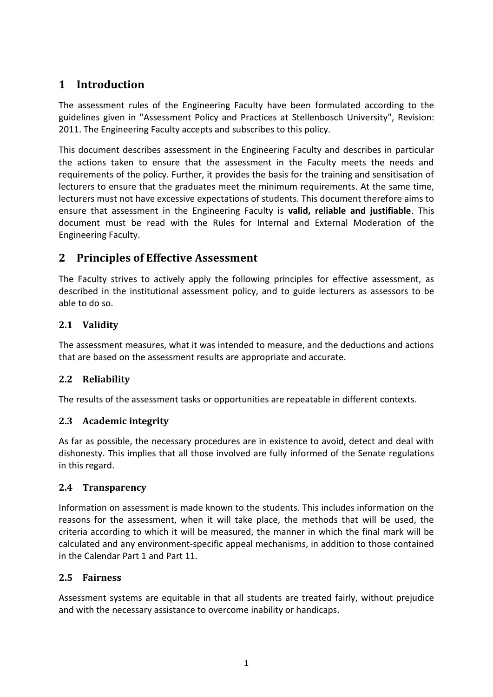# <span id="page-3-0"></span>**1 Introduction**

The assessment rules of the Engineering Faculty have been formulated according to the guidelines given in "Assessment Policy and Practices at Stellenbosch University", Revision: 2011. The Engineering Faculty accepts and subscribes to this policy.

This document describes assessment in the Engineering Faculty and describes in particular the actions taken to ensure that the assessment in the Faculty meets the needs and requirements of the policy. Further, it provides the basis for the training and sensitisation of lecturers to ensure that the graduates meet the minimum requirements. At the same time, lecturers must not have excessive expectations of students. This document therefore aims to ensure that assessment in the Engineering Faculty is **valid, reliable and justifiable**. This document must be read with the Rules for Internal and External Moderation of the Engineering Faculty.

# <span id="page-3-1"></span>**2 Principles of Effective Assessment**

The Faculty strives to actively apply the following principles for effective assessment, as described in the institutional assessment policy, and to guide lecturers as assessors to be able to do so.

# <span id="page-3-2"></span>**2.1 Validity**

The assessment measures, what it was intended to measure, and the deductions and actions that are based on the assessment results are appropriate and accurate.

# <span id="page-3-3"></span>**2.2 Reliability**

The results of the assessment tasks or opportunities are repeatable in different contexts.

# <span id="page-3-4"></span>**2.3 Academic integrity**

As far as possible, the necessary procedures are in existence to avoid, detect and deal with dishonesty. This implies that all those involved are fully informed of the Senate regulations in this regard.

# <span id="page-3-5"></span>**2.4 Transparency**

Information on assessment is made known to the students. This includes information on the reasons for the assessment, when it will take place, the methods that will be used, the criteria according to which it will be measured, the manner in which the final mark will be calculated and any environment-specific appeal mechanisms, in addition to those contained in the Calendar Part 1 and Part 11.

# <span id="page-3-6"></span>**2.5 Fairness**

Assessment systems are equitable in that all students are treated fairly, without prejudice and with the necessary assistance to overcome inability or handicaps.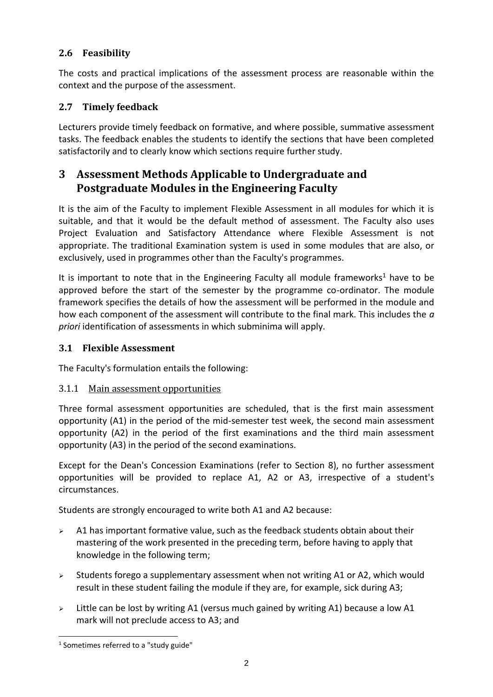# <span id="page-4-0"></span>**2.6 Feasibility**

The costs and practical implications of the assessment process are reasonable within the context and the purpose of the assessment.

# <span id="page-4-1"></span>**2.7 Timely feedback**

Lecturers provide timely feedback on formative, and where possible, summative assessment tasks. The feedback enables the students to identify the sections that have been completed satisfactorily and to clearly know which sections require further study.

# <span id="page-4-2"></span>**3 Assessment Methods Applicable to Undergraduate and Postgraduate Modules in the Engineering Faculty**

It is the aim of the Faculty to implement Flexible Assessment in all modules for which it is suitable, and that it would be the default method of assessment. The Faculty also uses Project Evaluation and Satisfactory Attendance where Flexible Assessment is not appropriate. The traditional Examination system is used in some modules that are also, or exclusively, used in programmes other than the Faculty's programmes.

It is important to note that in the Engineering Faculty all module frameworks<sup>1</sup> have to be approved before the start of the semester by the programme co-ordinator. The module framework specifies the details of how the assessment will be performed in the module and how each component of the assessment will contribute to the final mark. This includes the *a priori* identification of assessments in which subminima will apply.

# <span id="page-4-3"></span>**3.1 Flexible Assessment**

The Faculty's formulation entails the following:

# <span id="page-4-4"></span>3.1.1 Main assessment opportunities

Three formal assessment opportunities are scheduled, that is the first main assessment opportunity (A1) in the period of the mid-semester test week, the second main assessment opportunity (A2) in the period of the first examinations and the third main assessment opportunity (A3) in the period of the second examinations.

Except for the Dean's Concession Examinations (refer to Section [8\)](#page-21-2), no further assessment opportunities will be provided to replace A1, A2 or A3, irrespective of a student's circumstances.

Students are strongly encouraged to write both A1 and A2 because:

- $\geq$  A1 has important formative value, such as the feedback students obtain about their mastering of the work presented in the preceding term, before having to apply that knowledge in the following term;
- $\geq$  Students forego a supplementary assessment when not writing A1 or A2, which would result in these student failing the module if they are, for example, sick during A3;
- $\triangleright$  Little can be lost by writing A1 (versus much gained by writing A1) because a low A1 mark will not preclude access to A3; and

<sup>&</sup>lt;sup>1</sup> Sometimes referred to a "study guide"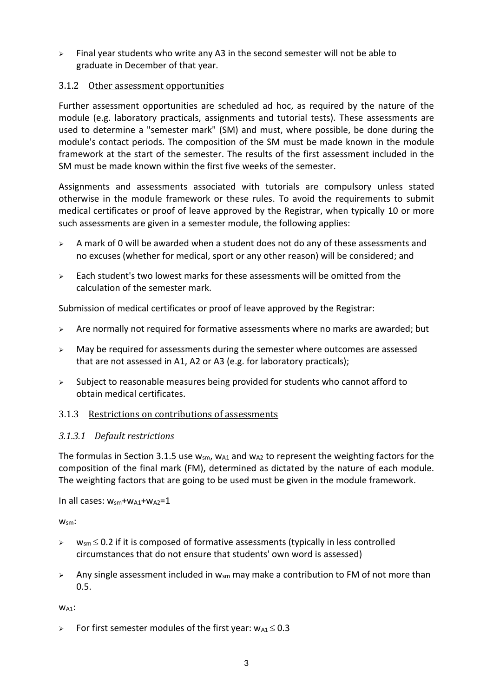$\geq$  Final year students who write any A3 in the second semester will not be able to graduate in December of that year.

#### <span id="page-5-0"></span>3.1.2 Other assessment opportunities

Further assessment opportunities are scheduled ad hoc, as required by the nature of the module (e.g. laboratory practicals, assignments and tutorial tests). These assessments are used to determine a "semester mark" (SM) and must, where possible, be done during the module's contact periods. The composition of the SM must be made known in the module framework at the start of the semester. The results of the first assessment included in the SM must be made known within the first five weeks of the semester.

Assignments and assessments associated with tutorials are compulsory unless stated otherwise in the module framework or these rules. To avoid the requirements to submit medical certificates or proof of leave approved by the Registrar, when typically 10 or more such assessments are given in a semester module, the following applies:

- $\triangleright$  A mark of 0 will be awarded when a student does not do any of these assessments and no excuses (whether for medical, sport or any other reason) will be considered; and
- $\geq$  Each student's two lowest marks for these assessments will be omitted from the calculation of the semester mark.

Submission of medical certificates or proof of leave approved by the Registrar:

- $\triangleright$  Are normally not required for formative assessments where no marks are awarded; but
- $\triangleright$  May be required for assessments during the semester where outcomes are assessed that are not assessed in A1, A2 or A3 (e.g. for laboratory practicals);
- ➢ Subject to reasonable measures being provided for students who cannot afford to obtain medical certificates.

# <span id="page-5-1"></span>3.1.3 Restrictions on contributions of assessments

#### <span id="page-5-2"></span>*3.1.3.1 Default restrictions*

The formulas in Section [3.1.5](#page-8-0) use  $w_{\text{sm}}$ ,  $w_{\text{A1}}$  and  $w_{\text{A2}}$  to represent the weighting factors for the composition of the final mark (FM), determined as dictated by the nature of each module. The weighting factors that are going to be used must be given in the module framework.

In all cases:  $w_{sm}$ + $w_{A1}$ + $w_{A2}$ =1

W<sub>sm</sub>:

- $\triangleright$  w<sub>sm</sub>  $\leq$  0.2 if it is composed of formative assessments (typically in less controlled circumstances that do not ensure that students' own word is assessed)
- $\triangleright$  Any single assessment included in w<sub>sm</sub> may make a contribution to FM of not more than 0.5.

 $W_{A1}$ :

 $\triangleright$  For first semester modules of the first year:  $w_{A1} \leq 0.3$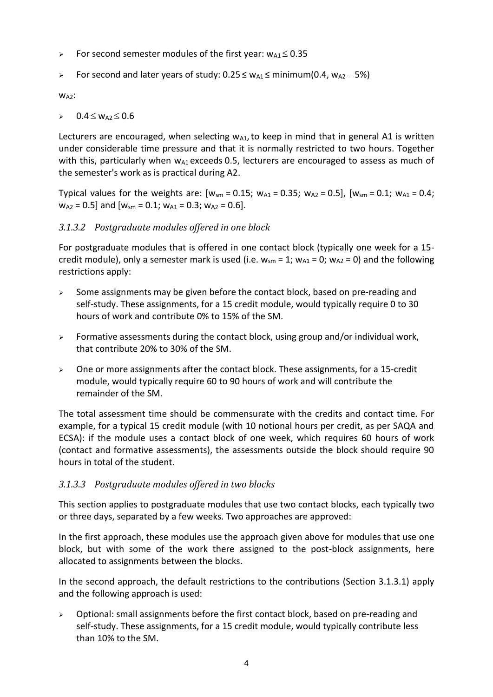- $\triangleright$  For second semester modules of the first year:  $w_{A1} \le 0.35$
- > For second and later years of study:  $0.25 \le w_{A1} \le \text{minimum}(0.4, w_{A2} 5%)$

W<sub>A2</sub>:

 $\triangleright$  0.4  $\leq$  W<sub>A2</sub>  $\leq$  0.6

Lecturers are encouraged, when selecting  $w_{A1}$ , to keep in mind that in general A1 is written under considerable time pressure and that it is normally restricted to two hours. Together with this, particularly when  $w_{A1}$  exceeds 0.5, lecturers are encouraged to assess as much of the semester's work as is practical during A2.

Typical values for the weights are:  $[w_{sm} = 0.15; w_{A1} = 0.35; w_{A2} = 0.5]$ ,  $[w_{sm} = 0.1; w_{A1} = 0.4;$  $w_{A2} = 0.5$ ] and  $[w_{sm} = 0.1; w_{A1} = 0.3; w_{A2} = 0.6]$ .

#### <span id="page-6-0"></span>*3.1.3.2 Postgraduate modules offered in one block*

For postgraduate modules that is offered in one contact block (typically one week for a 15 credit module), only a semester mark is used (i.e.  $w_{\rm sm} = 1$ ;  $w_{\rm A1} = 0$ ;  $w_{\rm A2} = 0$ ) and the following restrictions apply:

- $\triangleright$  Some assignments may be given before the contact block, based on pre-reading and self-study. These assignments, for a 15 credit module, would typically require 0 to 30 hours of work and contribute 0% to 15% of the SM.
- $\triangleright$  Formative assessments during the contact block, using group and/or individual work, that contribute 20% to 30% of the SM.
- $\geq$  One or more assignments after the contact block. These assignments, for a 15-credit module, would typically require 60 to 90 hours of work and will contribute the remainder of the SM.

The total assessment time should be commensurate with the credits and contact time. For example, for a typical 15 credit module (with 10 notional hours per credit, as per SAQA and ECSA): if the module uses a contact block of one week, which requires 60 hours of work (contact and formative assessments), the assessments outside the block should require 90 hours in total of the student.

#### <span id="page-6-1"></span>*3.1.3.3 Postgraduate modules offered in two blocks*

This section applies to postgraduate modules that use two contact blocks, each typically two or three days, separated by a few weeks. Two approaches are approved:

In the first approach, these modules use the approach given above for modules that use one block, but with some of the work there assigned to the post-block assignments, here allocated to assignments between the blocks.

In the second approach, the default restrictions to the contributions (Section [3.1.3.1\)](#page-5-2) apply and the following approach is used:

➢ Optional: small assignments before the first contact block, based on pre-reading and self-study. These assignments, for a 15 credit module, would typically contribute less than 10% to the SM.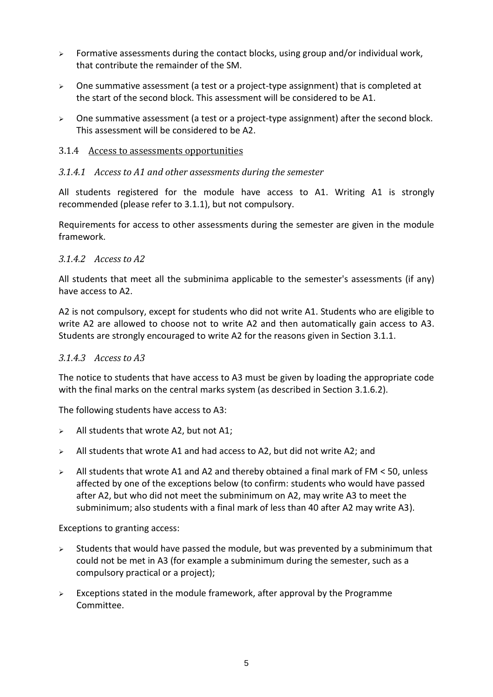- $\triangleright$  Formative assessments during the contact blocks, using group and/or individual work, that contribute the remainder of the SM.
- ➢ One summative assessment (a test or a project-type assignment) that is completed at the start of the second block. This assessment will be considered to be A1.
- $\triangleright$  One summative assessment (a test or a project-type assignment) after the second block. This assessment will be considered to be A2.

#### <span id="page-7-1"></span><span id="page-7-0"></span>3.1.4 Access to assessments opportunities

#### *3.1.4.1 Access to A1 and other assessments during the semester*

All students registered for the module have access to A1. Writing A1 is strongly recommended (please refer t[o 3.1.1\)](#page-4-4), but not compulsory.

Requirements for access to other assessments during the semester are given in the module framework.

#### <span id="page-7-2"></span>*3.1.4.2 Access to A2*

All students that meet all the subminima applicable to the semester's assessments (if any) have access to A2.

A2 is not compulsory, except for students who did not write A1. Students who are eligible to write A2 are allowed to choose not to write A2 and then automatically gain access to A3. Students are strongly encouraged to write A2 for the reasons given in Section [3.1.1.](#page-4-4)

#### <span id="page-7-3"></span>*3.1.4.3 Access to A3*

The notice to students that have access to A3 must be given by loading the appropriate code with the final marks on the central marks system (as described in Section [3.1.6.2\)](#page-10-0).

The following students have access to A3:

- $\triangleright$  All students that wrote A2, but not A1;
- ➢ All students that wrote A1 and had access to A2, but did not write A2; and
- ➢ All students that wrote A1 and A2 and thereby obtained a final mark of FM < 50, unless affected by one of the exceptions below (to confirm: students who would have passed after A2, but who did not meet the subminimum on A2, may write A3 to meet the subminimum; also students with a final mark of less than 40 after A2 may write A3).

Exceptions to granting access:

- $\geq$  Students that would have passed the module, but was prevented by a subminimum that could not be met in A3 (for example a subminimum during the semester, such as a compulsory practical or a project);
- $\triangleright$  Exceptions stated in the module framework, after approval by the Programme Committee.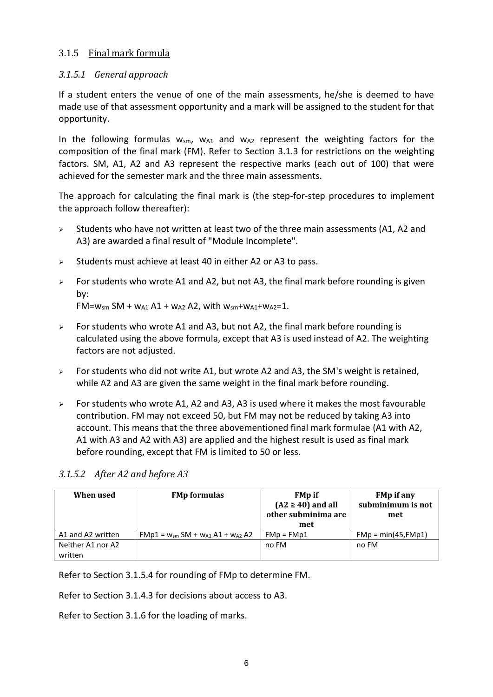#### <span id="page-8-0"></span>3.1.5 Final mark formula

#### <span id="page-8-1"></span>*3.1.5.1 General approach*

If a student enters the venue of one of the main assessments, he/she is deemed to have made use of that assessment opportunity and a mark will be assigned to the student for that opportunity.

In the following formulas  $w_{sm}$ ,  $w_{A1}$  and  $w_{A2}$  represent the weighting factors for the composition of the final mark (FM). Refer to Section [3.1.3](#page-5-1) for restrictions on the weighting factors. SM, A1, A2 and A3 represent the respective marks (each out of 100) that were achieved for the semester mark and the three main assessments.

The approach for calculating the final mark is (the step-for-step procedures to implement the approach follow thereafter):

- $\triangleright$  Students who have not written at least two of the three main assessments (A1, A2 and A3) are awarded a final result of "Module Incomplete".
- $\triangleright$  Students must achieve at least 40 in either A2 or A3 to pass.
- $\triangleright$  For students who wrote A1 and A2, but not A3, the final mark before rounding is given by: FM= $w_{5m}$  SM +  $w_{A1}$  A1 +  $w_{A2}$  A2, with  $w_{5m}$ + $w_{A1}$ + $w_{A2}$ =1.
- $\triangleright$  For students who wrote A1 and A3, but not A2, the final mark before rounding is calculated using the above formula, except that A3 is used instead of A2. The weighting factors are not adjusted.
- $\geq$  For students who did not write A1, but wrote A2 and A3, the SM's weight is retained, while A2 and A3 are given the same weight in the final mark before rounding.
- $\geq$  For students who wrote A1, A2 and A3, A3 is used where it makes the most favourable contribution. FM may not exceed 50, but FM may not be reduced by taking A3 into account. This means that the three abovementioned final mark formulae (A1 with A2, A1 with A3 and A2 with A3) are applied and the highest result is used as final mark before rounding, except that FM is limited to 50 or less.

#### <span id="page-8-2"></span>*3.1.5.2 After A2 and before A3*

| When used                    | <b>FMp formulas</b>                        | <b>FMp</b> if<br>$(A2 \ge 40)$ and all<br>other subminima are<br>met | <b>FMp if any</b><br>subminimum is not<br>met |
|------------------------------|--------------------------------------------|----------------------------------------------------------------------|-----------------------------------------------|
| A1 and A2 written            | $FMp1 = w_{sm} SM + w_{A1} A1 + w_{A2} A2$ | $FMp = FMp1$                                                         | $FMp = min(45, FMp1)$                         |
| Neither A1 nor A2<br>written |                                            | no FM                                                                | no FM                                         |

Refer to Section [3.1.5.4](#page-9-1) for rounding of FMp to determine FM.

Refer to Section [3.1.4.3](#page-7-3) for decisions about access to A3.

Refer to Section [3.1.6](#page-9-2) for the loading of marks.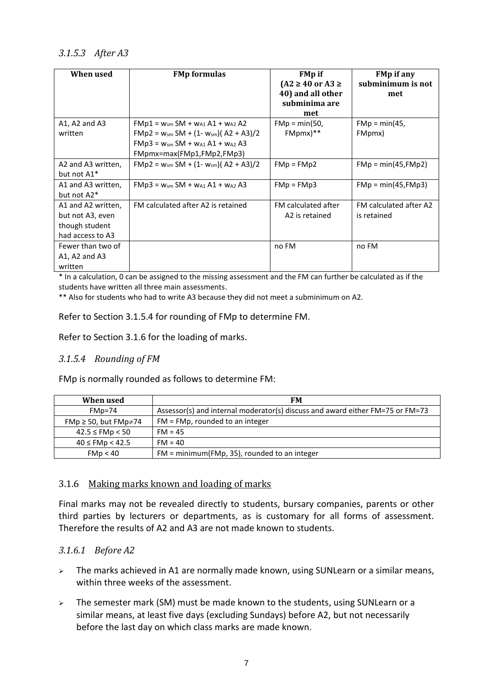#### <span id="page-9-0"></span>*3.1.5.3 After A3*

| When used          | <b>FMp formulas</b>                        | <b>FMp</b> if<br>$(A2 \ge 40 \text{ or } A3 \ge$<br>40) and all other<br>subminima are | <b>FMp if any</b><br>subminimum is not<br>met |
|--------------------|--------------------------------------------|----------------------------------------------------------------------------------------|-----------------------------------------------|
|                    |                                            | met                                                                                    |                                               |
| $A1$ , A2 and A3   | $FMp1 = w_{sm} SM + w_{A1} A1 + w_{A2} A2$ | $FMp = min(50,$                                                                        | $FMp = min(45,$                               |
| written            | $FMp2 = w_{sm} SM + (1-w_{sm})(A2 + A3)/2$ | FMpmx)**                                                                               | FMpmx)                                        |
|                    | $FMp3 = w_{sm} SM + w_{A1} A1 + w_{A2} A3$ |                                                                                        |                                               |
|                    | FMpmx=max(FMp1,FMp2,FMp3)                  |                                                                                        |                                               |
| A2 and A3 written, | $FMp2 = w_{sm} SM + (1-w_{sm})(A2 + A3)/2$ | $FMp = FMp2$                                                                           | $FMp = min(45, FMp2)$                         |
| but not A1*        |                                            |                                                                                        |                                               |
| A1 and A3 written, | $FMp3 = w_{sm} SM + w_{A1} A1 + w_{A2} A3$ | $FMp = FMp3$                                                                           | $FMp = min(45, FMp3)$                         |
| but not A2*        |                                            |                                                                                        |                                               |
| A1 and A2 written, | FM calculated after A2 is retained         | FM calculated after                                                                    | FM calculated after A2                        |
| but not A3, even   |                                            | A2 is retained                                                                         | is retained                                   |
| though student     |                                            |                                                                                        |                                               |
| had access to A3   |                                            |                                                                                        |                                               |
| Fewer than two of  |                                            | no FM                                                                                  | no FM                                         |
| $A1, A2$ and $A3$  |                                            |                                                                                        |                                               |
| written            |                                            |                                                                                        |                                               |

\* In a calculation, 0 can be assigned to the missing assessment and the FM can further be calculated as if the students have written all three main assessments.

\*\* Also for students who had to write A3 because they did not meet a subminimum on A2.

Refer to Section [3.1.5.4](#page-9-1) for rounding of FMp to determine FM.

Refer to Section [3.1.6](#page-9-2) for the loading of marks.

#### <span id="page-9-1"></span>*3.1.5.4 Rounding of FM*

FMp is normally rounded as follows to determine FM:

| When used                        | FM                                                                            |
|----------------------------------|-------------------------------------------------------------------------------|
| $FMp=74$                         | Assessor(s) and internal moderator(s) discuss and award either FM=75 or FM=73 |
| FMp $\geq$ 50, but FMp $\neq$ 74 | $FM = FMp$ , rounded to an integer                                            |
| $42.5 \leq$ FMp $< 50$           | $FM = 45$                                                                     |
| $40 \leq$ FMp $< 42.5$           | $FM = 40$                                                                     |
| FMp < 40                         | $FM = minimum(FMp, 35)$ , rounded to an integer                               |

#### <span id="page-9-2"></span>3.1.6 Making marks known and loading of marks

Final marks may not be revealed directly to students, bursary companies, parents or other third parties by lecturers or departments, as is customary for all forms of assessment. Therefore the results of A2 and A3 are not made known to students.

#### <span id="page-9-3"></span>*3.1.6.1 Before A2*

- ➢ The marks achieved in A1 are normally made known, using SUNLearn or a similar means, within three weeks of the assessment.
- ➢ The semester mark (SM) must be made known to the students, using SUNLearn or a similar means, at least five days (excluding Sundays) before A2, but not necessarily before the last day on which class marks are made known.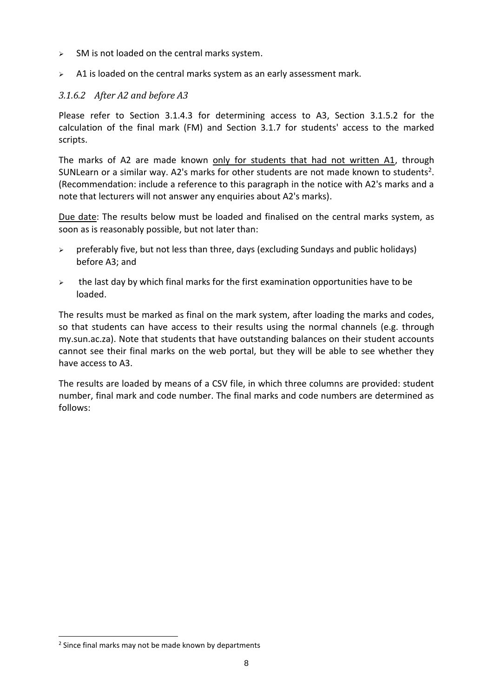- $\geq$  SM is not loaded on the central marks system.
- $\geq$  A1 is loaded on the central marks system as an early assessment mark.

#### <span id="page-10-0"></span>*3.1.6.2 After A2 and before A3*

Please refer to Section [3.1.4.3](#page-7-3) for determining access to A3, Section [3.1.5.2](#page-8-2) for the calculation of the final mark (FM) and Section [3.1.7](#page-12-0) for students' access to the marked scripts.

The marks of A2 are made known only for students that had not written A1, through SUNLearn or a similar way. A2's marks for other students are not made known to students<sup>2</sup>. (Recommendation: include a reference to this paragraph in the notice with A2's marks and a note that lecturers will not answer any enquiries about A2's marks).

Due date: The results below must be loaded and finalised on the central marks system, as soon as is reasonably possible, but not later than:

- $\triangleright$  preferably five, but not less than three, days (excluding Sundays and public holidays) before A3; and
- $\geq$  the last day by which final marks for the first examination opportunities have to be loaded.

The results must be marked as final on the mark system, after loading the marks and codes, so that students can have access to their results using the normal channels (e.g. through my.sun.ac.za). Note that students that have outstanding balances on their student accounts cannot see their final marks on the web portal, but they will be able to see whether they have access to A3.

The results are loaded by means of a CSV file, in which three columns are provided: student number, final mark and code number. The final marks and code numbers are determined as follows:

<sup>&</sup>lt;sup>2</sup> Since final marks may not be made known by departments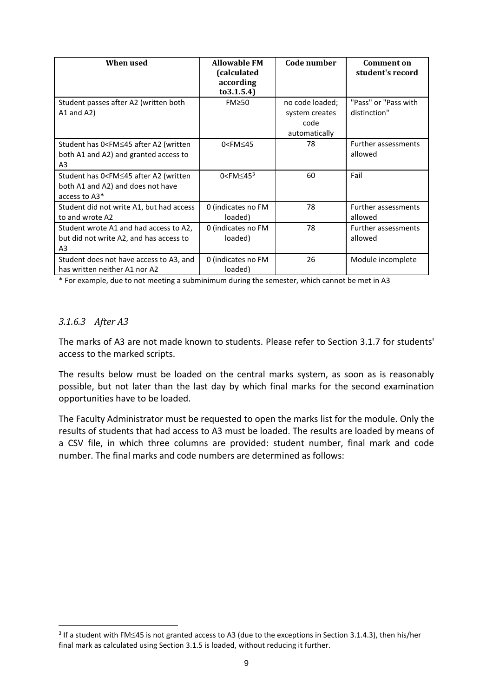| When used                                                                                                      | <b>Allowable FM</b><br>(calculated<br>according<br>to 3.1.5.4) | Code number                                                | <b>Comment on</b><br>student's record |
|----------------------------------------------------------------------------------------------------------------|----------------------------------------------------------------|------------------------------------------------------------|---------------------------------------|
| Student passes after A2 (written both<br>$A1$ and $A2$ )                                                       | $FM \geq 50$                                                   | no code loaded;<br>system creates<br>code<br>automatically | "Pass" or "Pass with<br>distinction"  |
| Student has 0 <fm≤45 (written<br="" a2="" after="">both A1 and A2) and granted access to<br/>A3</fm≤45>        | $0$ <fm<math>\leq45</fm<math>                                  | 78                                                         | <b>Further assessments</b><br>allowed |
| Student has 0 <fm≤45 (written<br="" a2="" after="">both A1 and A2) and does not have<br/>access to A3*</fm≤45> | $0$ <fm<math>\leq45<sup>3</sup></fm<math>                      | 60                                                         | Fail                                  |
| Student did not write A1, but had access<br>to and wrote A2                                                    | 0 (indicates no FM<br>loaded)                                  | 78                                                         | <b>Further assessments</b><br>allowed |
| Student wrote A1 and had access to A2,<br>but did not write A2, and has access to<br>A3                        | 0 (indicates no FM<br>loaded)                                  | 78                                                         | <b>Further assessments</b><br>allowed |
| Student does not have access to A3, and<br>has written neither A1 nor A2                                       | 0 (indicates no FM<br>loaded)                                  | 26                                                         | Module incomplete                     |

\* For example, due to not meeting a subminimum during the semester, which cannot be met in A3

#### <span id="page-11-0"></span>*3.1.6.3 After A3*

The marks of A3 are not made known to students. Please refer to Section [3.1.7](#page-12-0) for students' access to the marked scripts.

The results below must be loaded on the central marks system, as soon as is reasonably possible, but not later than the last day by which final marks for the second examination opportunities have to be loaded.

The Faculty Administrator must be requested to open the marks list for the module. Only the results of students that had access to A3 must be loaded. The results are loaded by means of a CSV file, in which three columns are provided: student number, final mark and code number. The final marks and code numbers are determined as follows:

 $3$  If a student with FM $\leq$ 45 is not granted access to A3 (due to the exceptions in Section [3.1.4.3\)](#page-7-3), then his/her final mark as calculated using Sectio[n 3.1.5](#page-8-0) is loaded, without reducing it further.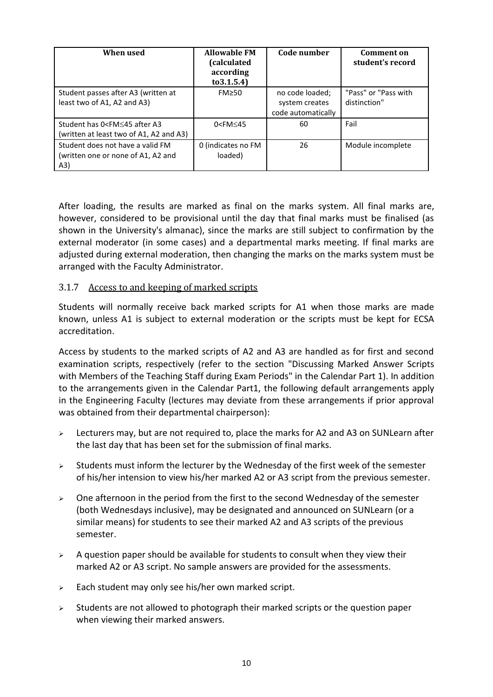| When used                                                                              | <b>Allowable FM</b><br>(calculated<br>according<br>to 3.1.5.4) | Code number                                             | <b>Comment on</b><br>student's record |
|----------------------------------------------------------------------------------------|----------------------------------------------------------------|---------------------------------------------------------|---------------------------------------|
| Student passes after A3 (written at<br>least two of A1, A2 and A3)                     | $FM \geq 50$                                                   | no code loaded;<br>system creates<br>code automatically | "Pass" or "Pass with<br>distinction"  |
| Student has 0 <fm≤45 a3<br="" after="">(written at least two of A1, A2 and A3)</fm≤45> | $0$ <fm<math>\leq45</fm<math>                                  | 60                                                      | Fail                                  |
| Student does not have a valid FM<br>(written one or none of A1, A2 and<br>(A3)         | 0 (indicates no FM<br>loaded)                                  | 26                                                      | Module incomplete                     |

After loading, the results are marked as final on the marks system. All final marks are, however, considered to be provisional until the day that final marks must be finalised (as shown in the University's almanac), since the marks are still subject to confirmation by the external moderator (in some cases) and a departmental marks meeting. If final marks are adjusted during external moderation, then changing the marks on the marks system must be arranged with the Faculty Administrator.

#### <span id="page-12-0"></span>3.1.7 Access to and keeping of marked scripts

Students will normally receive back marked scripts for A1 when those marks are made known, unless A1 is subject to external moderation or the scripts must be kept for ECSA accreditation.

Access by students to the marked scripts of A2 and A3 are handled as for first and second examination scripts, respectively (refer to the section "Discussing Marked Answer Scripts with Members of the Teaching Staff during Exam Periods" in the Calendar Part 1). In addition to the arrangements given in the Calendar Part1, the following default arrangements apply in the Engineering Faculty (lectures may deviate from these arrangements if prior approval was obtained from their departmental chairperson):

- ➢ Lecturers may, but are not required to, place the marks for A2 and A3 on SUNLearn after the last day that has been set for the submission of final marks.
- $\triangleright$  Students must inform the lecturer by the Wednesday of the first week of the semester of his/her intension to view his/her marked A2 or A3 script from the previous semester.
- $\geq$  One afternoon in the period from the first to the second Wednesday of the semester (both Wednesdays inclusive), may be designated and announced on SUNLearn (or a similar means) for students to see their marked A2 and A3 scripts of the previous semester.
- $\triangleright$  A question paper should be available for students to consult when they view their marked A2 or A3 script. No sample answers are provided for the assessments.
- $\geq$  Each student may only see his/her own marked script.
- $\triangleright$  Students are not allowed to photograph their marked scripts or the question paper when viewing their marked answers.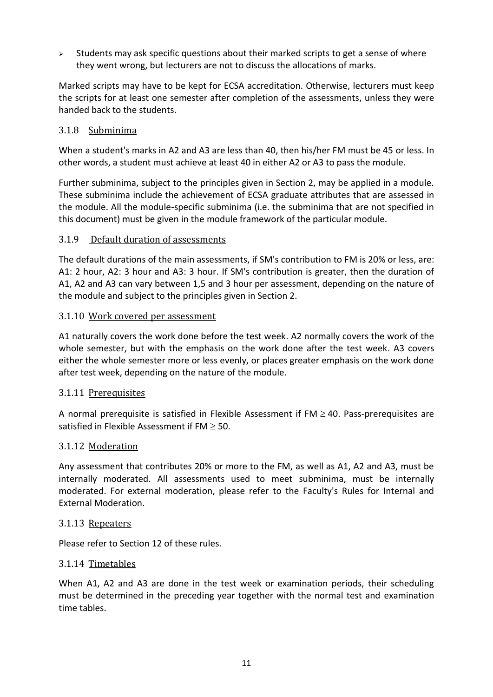$\geq$  Students may ask specific questions about their marked scripts to get a sense of where they went wrong, but lecturers are not to discuss the allocations of marks.

Marked scripts may have to be kept for ECSA accreditation. Otherwise, lecturers must keep the scripts for at least one semester after completion of the assessments, unless they were handed back to the students.

#### <span id="page-13-0"></span>3.1.8 Subminima

When a student's marks in A2 and A3 are less than 40, then his/her FM must be 45 or less. In other words, a student must achieve at least 40 in either A2 or A3 to pass the module.

Further subminima, subject to the principles given in Section 2, may be applied in a module. These subminima include the achievement of ECSA graduate attributes that are assessed in the module. All the module-specific subminima (i.e. the subminima that are not specified in this document) must be given in the module framework of the particular module.

#### <span id="page-13-1"></span>3.1.9 Default duration of assessments

The default durations of the main assessments, if SM's contribution to FM is 20% or less, are: A1: 2 hour, A2: 3 hour and A3: 3 hour. If SM's contribution is greater, then the duration of A1, A2 and A3 can vary between 1,5 and 3 hour per assessment, depending on the nature of the module and subject to the principles given in Section 2.

#### <span id="page-13-2"></span>3.1.10 Work covered per assessment

A1 naturally covers the work done before the test week. A2 normally covers the work of the whole semester, but with the emphasis on the work done after the test week. A3 covers either the whole semester more or less evenly, or places greater emphasis on the work done after test week, depending on the nature of the module.

#### <span id="page-13-3"></span>3.1.11 Prerequisites

A normal prerequisite is satisfied in Flexible Assessment if  $FM \geq 40$ . Pass-prerequisites are satisfied in Flexible Assessment if  $FM \geq 50$ .

#### <span id="page-13-4"></span>3.1.12 Moderation

Any assessment that contributes 20% or more to the FM, as well as A1, A2 and A3, must be internally moderated. All assessments used to meet subminima, must be internally moderated. For external moderation, please refer to the Faculty's Rules for Internal and External Moderation.

#### <span id="page-13-5"></span>3.1.13 Repeaters

Please refer to Section [12](#page-25-1) of these rules.

#### <span id="page-13-6"></span>3.1.14 Timetables

When A1, A2 and A3 are done in the test week or examination periods, their scheduling must be determined in the preceding year together with the normal test and examination time tables.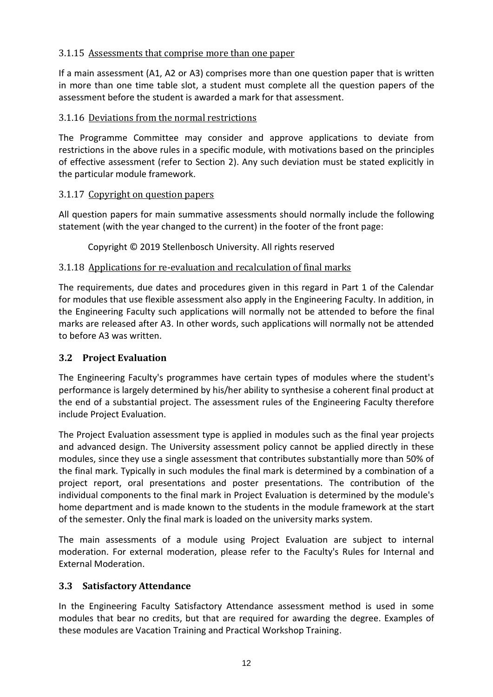#### <span id="page-14-0"></span>3.1.15 Assessments that comprise more than one paper

If a main assessment (A1, A2 or A3) comprises more than one question paper that is written in more than one time table slot, a student must complete all the question papers of the assessment before the student is awarded a mark for that assessment.

#### <span id="page-14-1"></span>3.1.16 Deviations from the normal restrictions

The Programme Committee may consider and approve applications to deviate from restrictions in the above rules in a specific module, with motivations based on the principles of effective assessment (refer to Section [2\)](#page-3-1). Any such deviation must be stated explicitly in the particular module framework.

#### <span id="page-14-2"></span>3.1.17 Copyright on question papers

All question papers for main summative assessments should normally include the following statement (with the year changed to the current) in the footer of the front page:

Copyright © 2019 Stellenbosch University. All rights reserved

#### <span id="page-14-3"></span>3.1.18 Applications for re-evaluation and recalculation of final marks

The requirements, due dates and procedures given in this regard in Part 1 of the Calendar for modules that use flexible assessment also apply in the Engineering Faculty. In addition, in the Engineering Faculty such applications will normally not be attended to before the final marks are released after A3. In other words, such applications will normally not be attended to before A3 was written.

#### <span id="page-14-4"></span>**3.2 Project Evaluation**

The Engineering Faculty's programmes have certain types of modules where the student's performance is largely determined by his/her ability to synthesise a coherent final product at the end of a substantial project. The assessment rules of the Engineering Faculty therefore include Project Evaluation.

The Project Evaluation assessment type is applied in modules such as the final year projects and advanced design. The University assessment policy cannot be applied directly in these modules, since they use a single assessment that contributes substantially more than 50% of the final mark. Typically in such modules the final mark is determined by a combination of a project report, oral presentations and poster presentations. The contribution of the individual components to the final mark in Project Evaluation is determined by the module's home department and is made known to the students in the module framework at the start of the semester. Only the final mark is loaded on the university marks system.

The main assessments of a module using Project Evaluation are subject to internal moderation. For external moderation, please refer to the Faculty's Rules for Internal and External Moderation.

# <span id="page-14-5"></span>**3.3 Satisfactory Attendance**

In the Engineering Faculty Satisfactory Attendance assessment method is used in some modules that bear no credits, but that are required for awarding the degree. Examples of these modules are Vacation Training and Practical Workshop Training.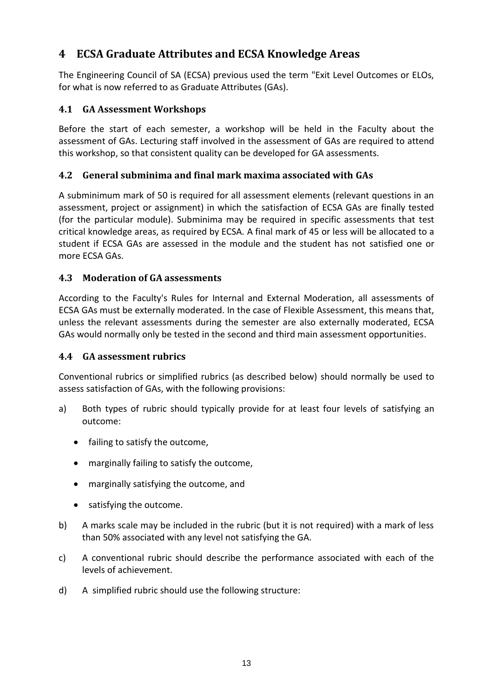# <span id="page-15-0"></span>**4 ECSA Graduate Attributes and ECSA Knowledge Areas**

The Engineering Council of SA (ECSA) previous used the term "Exit Level Outcomes or ELOs, for what is now referred to as Graduate Attributes (GAs).

# <span id="page-15-1"></span>**4.1 GA Assessment Workshops**

Before the start of each semester, a workshop will be held in the Faculty about the assessment of GAs. Lecturing staff involved in the assessment of GAs are required to attend this workshop, so that consistent quality can be developed for GA assessments.

# <span id="page-15-2"></span>**4.2 General subminima and final mark maxima associated with GAs**

A subminimum mark of 50 is required for all assessment elements (relevant questions in an assessment, project or assignment) in which the satisfaction of ECSA GAs are finally tested (for the particular module). Subminima may be required in specific assessments that test critical knowledge areas, as required by ECSA. A final mark of 45 or less will be allocated to a student if ECSA GAs are assessed in the module and the student has not satisfied one or more ECSA GAs.

# <span id="page-15-3"></span>**4.3 Moderation of GA assessments**

According to the Faculty's Rules for Internal and External Moderation, all assessments of ECSA GAs must be externally moderated. In the case of Flexible Assessment, this means that, unless the relevant assessments during the semester are also externally moderated, ECSA GAs would normally only be tested in the second and third main assessment opportunities.

# <span id="page-15-4"></span>**4.4 GA assessment rubrics**

Conventional rubrics or simplified rubrics (as described below) should normally be used to assess satisfaction of GAs, with the following provisions:

- a) Both types of rubric should typically provide for at least four levels of satisfying an outcome:
	- failing to satisfy the outcome,
	- marginally failing to satisfy the outcome,
	- marginally satisfying the outcome, and
	- satisfying the outcome.
- b) A marks scale may be included in the rubric (but it is not required) with a mark of less than 50% associated with any level not satisfying the GA.
- c) A conventional rubric should describe the performance associated with each of the levels of achievement.
- d) A simplified rubric should use the following structure: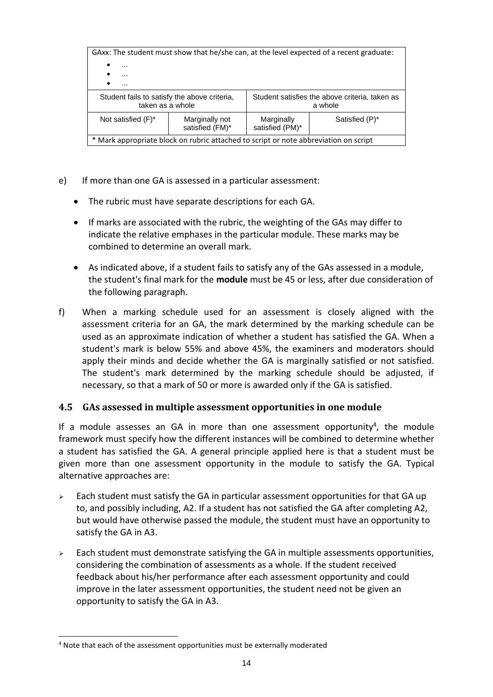| GAxx: The student must show that he/she can, at the level expected of a recent graduate: |                                   |                                                           |                |  |
|------------------------------------------------------------------------------------------|-----------------------------------|-----------------------------------------------------------|----------------|--|
| $\bullet$<br>$\cdots$                                                                    |                                   |                                                           |                |  |
| $\cdots$                                                                                 |                                   |                                                           |                |  |
| ٠<br>$\cdots$                                                                            |                                   |                                                           |                |  |
| Student fails to satisfy the above criteria,<br>taken as a whole                         |                                   | Student satisfies the above criteria, taken as<br>a whole |                |  |
| Not satisfied $(F)^*$                                                                    | Marginally not<br>satisfied (FM)* | Marginally<br>satisfied (PM)*                             | Satisfied (P)* |  |
| * Mark appropriate block on rubric attached to script or note abbreviation on script     |                                   |                                                           |                |  |

- e) If more than one GA is assessed in a particular assessment:
	- The rubric must have separate descriptions for each GA.
	- If marks are associated with the rubric, the weighting of the GAs may differ to indicate the relative emphases in the particular module. These marks may be combined to determine an overall mark.
	- As indicated above, if a student fails to satisfy any of the GAs assessed in a module, the student's final mark for the **module** must be 45 or less, after due consideration of the following paragraph.
- f) When a marking schedule used for an assessment is closely aligned with the assessment criteria for an GA, the mark determined by the marking schedule can be used as an approximate indication of whether a student has satisfied the GA. When a student's mark is below 55% and above 45%, the examiners and moderators should apply their minds and decide whether the GA is marginally satisfied or not satisfied. The student's mark determined by the marking schedule should be adjusted, if necessary, so that a mark of 50 or more is awarded only if the GA is satisfied.

#### <span id="page-16-0"></span>**4.5 GAs assessed in multiple assessment opportunities in one module**

If a module assesses an GA in more than one assessment opportunity<sup>4</sup>, the module framework must specify how the different instances will be combined to determine whether a student has satisfied the GA. A general principle applied here is that a student must be given more than one assessment opportunity in the module to satisfy the GA. Typical alternative approaches are:

- $\triangleright$  Each student must satisfy the GA in particular assessment opportunities for that GA up to, and possibly including, A2. If a student has not satisfied the GA after completing A2, but would have otherwise passed the module, the student must have an opportunity to satisfy the GA in A3.
- $\triangleright$  Each student must demonstrate satisfying the GA in multiple assessments opportunities, considering the combination of assessments as a whole. If the student received feedback about his/her performance after each assessment opportunity and could improve in the later assessment opportunities, the student need not be given an opportunity to satisfy the GA in A3.

<sup>&</sup>lt;sup>4</sup> Note that each of the assessment opportunities must be externally moderated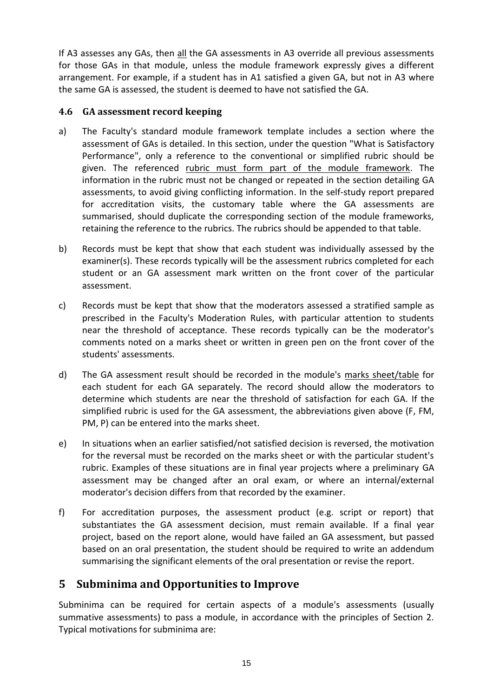If A3 assesses any GAs, then all the GA assessments in A3 override all previous assessments for those GAs in that module, unless the module framework expressly gives a different arrangement. For example, if a student has in A1 satisfied a given GA, but not in A3 where the same GA is assessed, the student is deemed to have not satisfied the GA.

# <span id="page-17-0"></span>**4.6 GA assessment record keeping**

- a) The Faculty's standard module framework template includes a section where the assessment of GAs is detailed. In this section, under the question "What is Satisfactory Performance", only a reference to the conventional or simplified rubric should be given. The referenced rubric must form part of the module framework. The information in the rubric must not be changed or repeated in the section detailing GA assessments, to avoid giving conflicting information. In the self-study report prepared for accreditation visits, the customary table where the GA assessments are summarised, should duplicate the corresponding section of the module frameworks, retaining the reference to the rubrics. The rubrics should be appended to that table.
- b) Records must be kept that show that each student was individually assessed by the examiner(s). These records typically will be the assessment rubrics completed for each student or an GA assessment mark written on the front cover of the particular assessment.
- c) Records must be kept that show that the moderators assessed a stratified sample as prescribed in the Faculty's Moderation Rules, with particular attention to students near the threshold of acceptance. These records typically can be the moderator's comments noted on a marks sheet or written in green pen on the front cover of the students' assessments.
- d) The GA assessment result should be recorded in the module's marks sheet/table for each student for each GA separately. The record should allow the moderators to determine which students are near the threshold of satisfaction for each GA. If the simplified rubric is used for the GA assessment, the abbreviations given above (F, FM, PM, P) can be entered into the marks sheet.
- e) In situations when an earlier satisfied/not satisfied decision is reversed, the motivation for the reversal must be recorded on the marks sheet or with the particular student's rubric. Examples of these situations are in final year projects where a preliminary GA assessment may be changed after an oral exam, or where an internal/external moderator's decision differs from that recorded by the examiner.
- f) For accreditation purposes, the assessment product (e.g. script or report) that substantiates the GA assessment decision, must remain available. If a final year project, based on the report alone, would have failed an GA assessment, but passed based on an oral presentation, the student should be required to write an addendum summarising the significant elements of the oral presentation or revise the report.

# <span id="page-17-1"></span>**5 Subminima and Opportunities to Improve**

Subminima can be required for certain aspects of a module's assessments (usually summative assessments) to pass a module, in accordance with the principles of Section 2. Typical motivations for subminima are: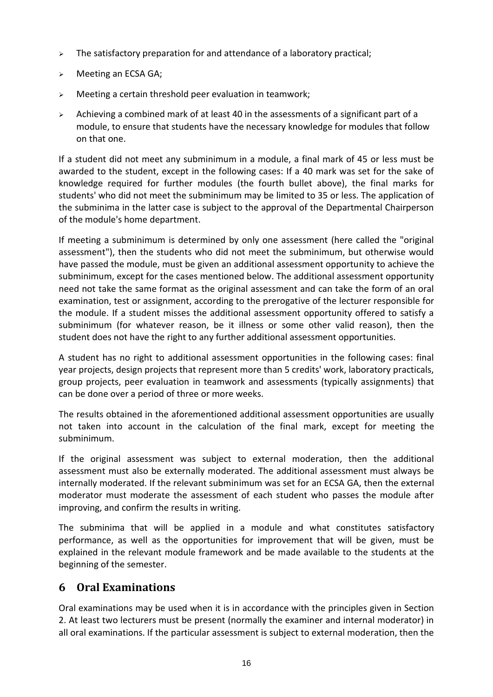- $\triangleright$  The satisfactory preparation for and attendance of a laboratory practical;
- ➢ Meeting an ECSA GA;
- ➢ Meeting a certain threshold peer evaluation in teamwork;
- $\geq$  Achieving a combined mark of at least 40 in the assessments of a significant part of a module, to ensure that students have the necessary knowledge for modules that follow on that one.

If a student did not meet any subminimum in a module, a final mark of 45 or less must be awarded to the student, except in the following cases: If a 40 mark was set for the sake of knowledge required for further modules (the fourth bullet above), the final marks for students' who did not meet the subminimum may be limited to 35 or less. The application of the subminima in the latter case is subject to the approval of the Departmental Chairperson of the module's home department.

If meeting a subminimum is determined by only one assessment (here called the "original assessment"), then the students who did not meet the subminimum, but otherwise would have passed the module, must be given an additional assessment opportunity to achieve the subminimum, except for the cases mentioned below. The additional assessment opportunity need not take the same format as the original assessment and can take the form of an oral examination, test or assignment, according to the prerogative of the lecturer responsible for the module. If a student misses the additional assessment opportunity offered to satisfy a subminimum (for whatever reason, be it illness or some other valid reason), then the student does not have the right to any further additional assessment opportunities.

A student has no right to additional assessment opportunities in the following cases: final year projects, design projects that represent more than 5 credits' work, laboratory practicals, group projects, peer evaluation in teamwork and assessments (typically assignments) that can be done over a period of three or more weeks.

The results obtained in the aforementioned additional assessment opportunities are usually not taken into account in the calculation of the final mark, except for meeting the subminimum.

If the original assessment was subject to external moderation, then the additional assessment must also be externally moderated. The additional assessment must always be internally moderated. If the relevant subminimum was set for an ECSA GA, then the external moderator must moderate the assessment of each student who passes the module after improving, and confirm the results in writing.

The subminima that will be applied in a module and what constitutes satisfactory performance, as well as the opportunities for improvement that will be given, must be explained in the relevant module framework and be made available to the students at the beginning of the semester.

# <span id="page-18-0"></span>**6 Oral Examinations**

Oral examinations may be used when it is in accordance with the principles given in Section 2. At least two lecturers must be present (normally the examiner and internal moderator) in all oral examinations. If the particular assessment is subject to external moderation, then the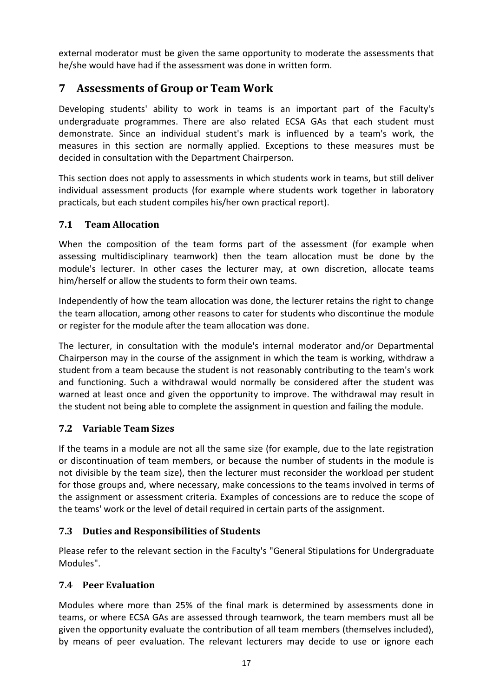external moderator must be given the same opportunity to moderate the assessments that he/she would have had if the assessment was done in written form.

# <span id="page-19-0"></span>**7 Assessments of Group or Team Work**

Developing students' ability to work in teams is an important part of the Faculty's undergraduate programmes. There are also related ECSA GAs that each student must demonstrate. Since an individual student's mark is influenced by a team's work, the measures in this section are normally applied. Exceptions to these measures must be decided in consultation with the Department Chairperson.

This section does not apply to assessments in which students work in teams, but still deliver individual assessment products (for example where students work together in laboratory practicals, but each student compiles his/her own practical report).

# <span id="page-19-1"></span>**7.1 Team Allocation**

When the composition of the team forms part of the assessment (for example when assessing multidisciplinary teamwork) then the team allocation must be done by the module's lecturer. In other cases the lecturer may, at own discretion, allocate teams him/herself or allow the students to form their own teams.

Independently of how the team allocation was done, the lecturer retains the right to change the team allocation, among other reasons to cater for students who discontinue the module or register for the module after the team allocation was done.

The lecturer, in consultation with the module's internal moderator and/or Departmental Chairperson may in the course of the assignment in which the team is working, withdraw a student from a team because the student is not reasonably contributing to the team's work and functioning. Such a withdrawal would normally be considered after the student was warned at least once and given the opportunity to improve. The withdrawal may result in the student not being able to complete the assignment in question and failing the module.

# <span id="page-19-2"></span>**7.2 Variable Team Sizes**

If the teams in a module are not all the same size (for example, due to the late registration or discontinuation of team members, or because the number of students in the module is not divisible by the team size), then the lecturer must reconsider the workload per student for those groups and, where necessary, make concessions to the teams involved in terms of the assignment or assessment criteria. Examples of concessions are to reduce the scope of the teams' work or the level of detail required in certain parts of the assignment.

# <span id="page-19-3"></span>**7.3 Duties and Responsibilities of Students**

Please refer to the relevant section in the Faculty's "General Stipulations for Undergraduate Modules".

# <span id="page-19-4"></span>**7.4 Peer Evaluation**

Modules where more than 25% of the final mark is determined by assessments done in teams, or where ECSA GAs are assessed through teamwork, the team members must all be given the opportunity evaluate the contribution of all team members (themselves included), by means of peer evaluation. The relevant lecturers may decide to use or ignore each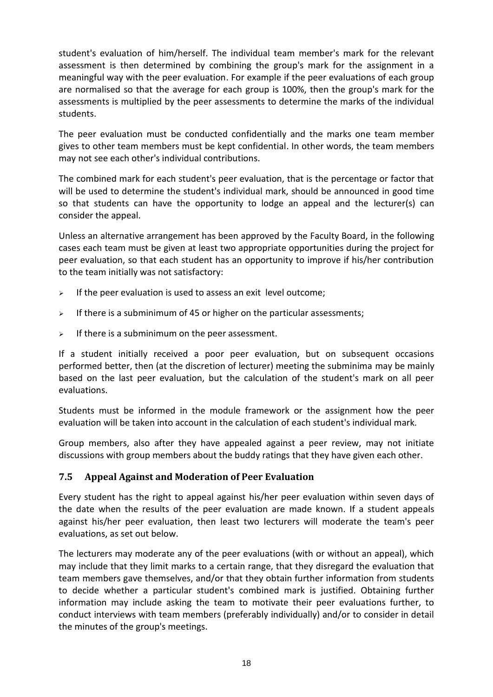student's evaluation of him/herself. The individual team member's mark for the relevant assessment is then determined by combining the group's mark for the assignment in a meaningful way with the peer evaluation. For example if the peer evaluations of each group are normalised so that the average for each group is 100%, then the group's mark for the assessments is multiplied by the peer assessments to determine the marks of the individual students.

The peer evaluation must be conducted confidentially and the marks one team member gives to other team members must be kept confidential. In other words, the team members may not see each other's individual contributions.

The combined mark for each student's peer evaluation, that is the percentage or factor that will be used to determine the student's individual mark, should be announced in good time so that students can have the opportunity to lodge an appeal and the lecturer(s) can consider the appeal.

Unless an alternative arrangement has been approved by the Faculty Board, in the following cases each team must be given at least two appropriate opportunities during the project for peer evaluation, so that each student has an opportunity to improve if his/her contribution to the team initially was not satisfactory:

- $\geq$  If the peer evaluation is used to assess an exit level outcome:
- $\geq$  If there is a subminimum of 45 or higher on the particular assessments;
- $\triangleright$  If there is a subminimum on the peer assessment.

If a student initially received a poor peer evaluation, but on subsequent occasions performed better, then (at the discretion of lecturer) meeting the subminima may be mainly based on the last peer evaluation, but the calculation of the student's mark on all peer evaluations.

Students must be informed in the module framework or the assignment how the peer evaluation will be taken into account in the calculation of each student's individual mark.

Group members, also after they have appealed against a peer review, may not initiate discussions with group members about the buddy ratings that they have given each other.

# <span id="page-20-0"></span>**7.5 Appeal Against and Moderation of Peer Evaluation**

Every student has the right to appeal against his/her peer evaluation within seven days of the date when the results of the peer evaluation are made known. If a student appeals against his/her peer evaluation, then least two lecturers will moderate the team's peer evaluations, as set out below.

The lecturers may moderate any of the peer evaluations (with or without an appeal), which may include that they limit marks to a certain range, that they disregard the evaluation that team members gave themselves, and/or that they obtain further information from students to decide whether a particular student's combined mark is justified. Obtaining further information may include asking the team to motivate their peer evaluations further, to conduct interviews with team members (preferably individually) and/or to consider in detail the minutes of the group's meetings.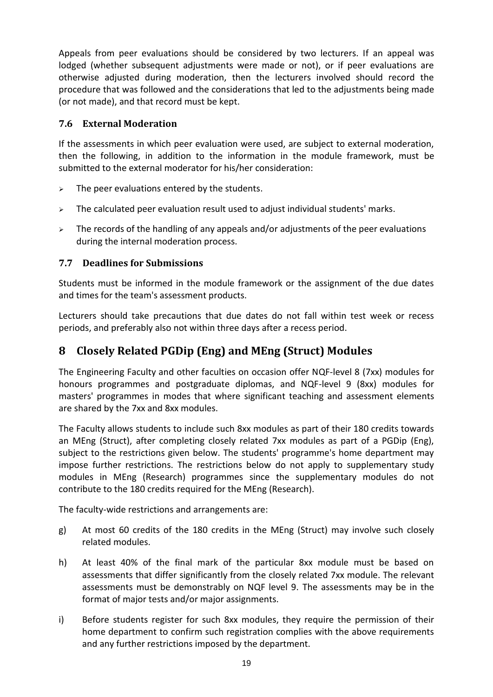Appeals from peer evaluations should be considered by two lecturers. If an appeal was lodged (whether subsequent adjustments were made or not), or if peer evaluations are otherwise adjusted during moderation, then the lecturers involved should record the procedure that was followed and the considerations that led to the adjustments being made (or not made), and that record must be kept.

# <span id="page-21-0"></span>**7.6 External Moderation**

If the assessments in which peer evaluation were used, are subject to external moderation, then the following, in addition to the information in the module framework, must be submitted to the external moderator for his/her consideration:

- $\geq$  The peer evaluations entered by the students.
- $\triangleright$  The calculated peer evaluation result used to adjust individual students' marks.
- $\geq$  The records of the handling of any appeals and/or adjustments of the peer evaluations during the internal moderation process.

# <span id="page-21-1"></span>**7.7 Deadlines for Submissions**

Students must be informed in the module framework or the assignment of the due dates and times for the team's assessment products.

Lecturers should take precautions that due dates do not fall within test week or recess periods, and preferably also not within three days after a recess period.

# <span id="page-21-2"></span>**8 Closely Related PGDip (Eng) and MEng (Struct) Modules**

The Engineering Faculty and other faculties on occasion offer NQF-level 8 (7xx) modules for honours programmes and postgraduate diplomas, and NQF-level 9 (8xx) modules for masters' programmes in modes that where significant teaching and assessment elements are shared by the 7xx and 8xx modules.

The Faculty allows students to include such 8xx modules as part of their 180 credits towards an MEng (Struct), after completing closely related 7xx modules as part of a PGDip (Eng), subject to the restrictions given below. The students' programme's home department may impose further restrictions. The restrictions below do not apply to supplementary study modules in MEng (Research) programmes since the supplementary modules do not contribute to the 180 credits required for the MEng (Research).

The faculty-wide restrictions and arrangements are:

- g) At most 60 credits of the 180 credits in the MEng (Struct) may involve such closely related modules.
- h) At least 40% of the final mark of the particular 8xx module must be based on assessments that differ significantly from the closely related 7xx module. The relevant assessments must be demonstrably on NQF level 9. The assessments may be in the format of major tests and/or major assignments.
- i) Before students register for such 8xx modules, they require the permission of their home department to confirm such registration complies with the above requirements and any further restrictions imposed by the department.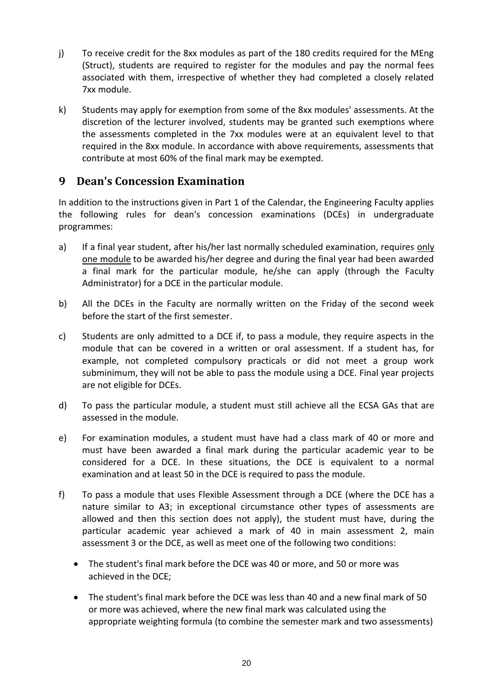- j) To receive credit for the 8xx modules as part of the 180 credits required for the MEng (Struct), students are required to register for the modules and pay the normal fees associated with them, irrespective of whether they had completed a closely related 7xx module.
- k) Students may apply for exemption from some of the 8xx modules' assessments. At the discretion of the lecturer involved, students may be granted such exemptions where the assessments completed in the 7xx modules were at an equivalent level to that required in the 8xx module. In accordance with above requirements, assessments that contribute at most 60% of the final mark may be exempted.

# <span id="page-22-0"></span>**9 Dean's Concession Examination**

In addition to the instructions given in Part 1 of the Calendar, the Engineering Faculty applies the following rules for dean's concession examinations (DCEs) in undergraduate programmes:

- a) If a final year student, after his/her last normally scheduled examination, requires only one module to be awarded his/her degree and during the final year had been awarded a final mark for the particular module, he/she can apply (through the Faculty Administrator) for a DCE in the particular module.
- b) All the DCEs in the Faculty are normally written on the Friday of the second week before the start of the first semester.
- c) Students are only admitted to a DCE if, to pass a module, they require aspects in the module that can be covered in a written or oral assessment. If a student has, for example, not completed compulsory practicals or did not meet a group work subminimum, they will not be able to pass the module using a DCE. Final year projects are not eligible for DCEs.
- d) To pass the particular module, a student must still achieve all the ECSA GAs that are assessed in the module.
- e) For examination modules, a student must have had a class mark of 40 or more and must have been awarded a final mark during the particular academic year to be considered for a DCE. In these situations, the DCE is equivalent to a normal examination and at least 50 in the DCE is required to pass the module.
- f) To pass a module that uses Flexible Assessment through a DCE (where the DCE has a nature similar to A3; in exceptional circumstance other types of assessments are allowed and then this section does not apply), the student must have, during the particular academic year achieved a mark of 40 in main assessment 2, main assessment 3 or the DCE, as well as meet one of the following two conditions:
	- The student's final mark before the DCE was 40 or more, and 50 or more was achieved in the DCE;
	- The student's final mark before the DCE was less than 40 and a new final mark of 50 or more was achieved, where the new final mark was calculated using the appropriate weighting formula (to combine the semester mark and two assessments)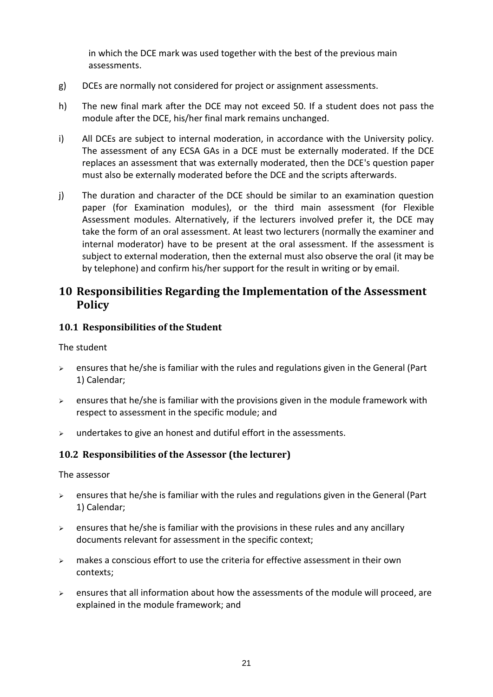in which the DCE mark was used together with the best of the previous main assessments.

- g) DCEs are normally not considered for project or assignment assessments.
- h) The new final mark after the DCE may not exceed 50. If a student does not pass the module after the DCE, his/her final mark remains unchanged.
- i) All DCEs are subject to internal moderation, in accordance with the University policy. The assessment of any ECSA GAs in a DCE must be externally moderated. If the DCE replaces an assessment that was externally moderated, then the DCE's question paper must also be externally moderated before the DCE and the scripts afterwards.
- j) The duration and character of the DCE should be similar to an examination question paper (for Examination modules), or the third main assessment (for Flexible Assessment modules. Alternatively, if the lecturers involved prefer it, the DCE may take the form of an oral assessment. At least two lecturers (normally the examiner and internal moderator) have to be present at the oral assessment. If the assessment is subject to external moderation, then the external must also observe the oral (it may be by telephone) and confirm his/her support for the result in writing or by email.

# <span id="page-23-0"></span>**10 Responsibilities Regarding the Implementation of the Assessment Policy**

#### <span id="page-23-1"></span>**10.1 Responsibilities of the Student**

The student

- ➢ ensures that he/she is familiar with the rules and regulations given in the General (Part 1) Calendar;
- $\triangleright$  ensures that he/she is familiar with the provisions given in the module framework with respect to assessment in the specific module; and
- $\triangleright$  undertakes to give an honest and dutiful effort in the assessments.

#### <span id="page-23-2"></span>**10.2 Responsibilities of the Assessor (the lecturer)**

The assessor

- $\ge$  ensures that he/she is familiar with the rules and regulations given in the General (Part 1) Calendar;
- $\triangleright$  ensures that he/she is familiar with the provisions in these rules and any ancillary documents relevant for assessment in the specific context;
- $\geq$  makes a conscious effort to use the criteria for effective assessment in their own contexts;
- ➢ ensures that all information about how the assessments of the module will proceed, are explained in the module framework; and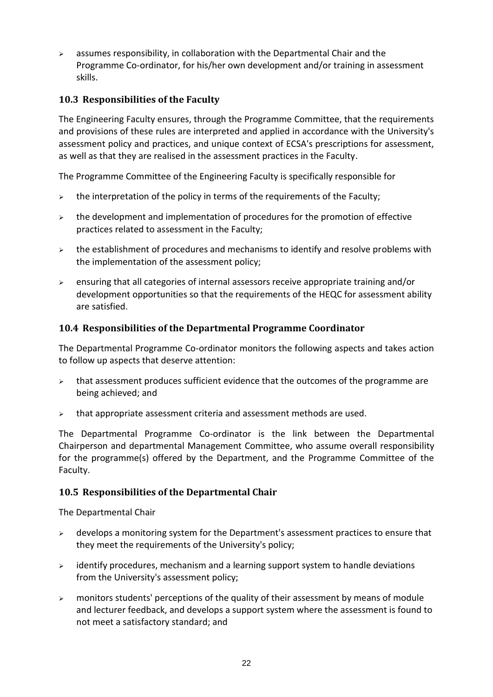$\geq$  assumes responsibility, in collaboration with the Departmental Chair and the Programme Co-ordinator, for his/her own development and/or training in assessment skills.

# <span id="page-24-0"></span>**10.3 Responsibilities of the Faculty**

The Engineering Faculty ensures, through the Programme Committee, that the requirements and provisions of these rules are interpreted and applied in accordance with the University's assessment policy and practices, and unique context of ECSA's prescriptions for assessment, as well as that they are realised in the assessment practices in the Faculty.

The Programme Committee of the Engineering Faculty is specifically responsible for

- $\geq$  the interpretation of the policy in terms of the requirements of the Faculty;
- $\geq$  the development and implementation of procedures for the promotion of effective practices related to assessment in the Faculty;
- $\geq$  the establishment of procedures and mechanisms to identify and resolve problems with the implementation of the assessment policy;
- $\triangleright$  ensuring that all categories of internal assessors receive appropriate training and/or development opportunities so that the requirements of the HEQC for assessment ability are satisfied.

#### <span id="page-24-1"></span>**10.4 Responsibilities of the Departmental Programme Coordinator**

The Departmental Programme Co-ordinator monitors the following aspects and takes action to follow up aspects that deserve attention:

- $\triangleright$  that assessment produces sufficient evidence that the outcomes of the programme are being achieved; and
- $\triangleright$  that appropriate assessment criteria and assessment methods are used.

The Departmental Programme Co-ordinator is the link between the Departmental Chairperson and departmental Management Committee, who assume overall responsibility for the programme(s) offered by the Department, and the Programme Committee of the Faculty.

# <span id="page-24-2"></span>**10.5 Responsibilities of the Departmental Chair**

The Departmental Chair

- $\triangleright$  develops a monitoring system for the Department's assessment practices to ensure that they meet the requirements of the University's policy;
- ➢ identify procedures, mechanism and a learning support system to handle deviations from the University's assessment policy;
- ➢ monitors students' perceptions of the quality of their assessment by means of module and lecturer feedback, and develops a support system where the assessment is found to not meet a satisfactory standard; and